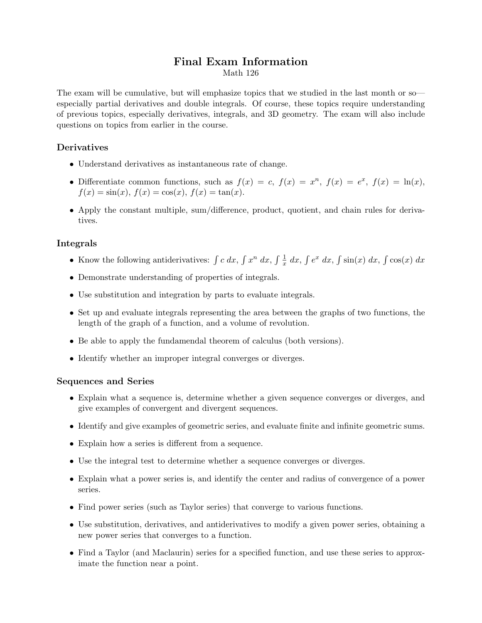# Final Exam Information

Math 126

The exam will be cumulative, but will emphasize topics that we studied in the last month or so especially partial derivatives and double integrals. Of course, these topics require understanding of previous topics, especially derivatives, integrals, and 3D geometry. The exam will also include questions on topics from earlier in the course.

## Derivatives

- Understand derivatives as instantaneous rate of change.
- Differentiate common functions, such as  $f(x) = c$ ,  $f(x) = x^n$ ,  $f(x) = e^x$ ,  $f(x) = \ln(x)$ ,  $f(x) = \sin(x), f(x) = \cos(x), f(x) = \tan(x).$
- Apply the constant multiple, sum/difference, product, quotient, and chain rules for derivatives.

### Integrals

- Know the following antiderivatives:  $\int c \, dx$ ,  $\int x^n \, dx$ ,  $\int \frac{1}{x} \, dx$ ,  $\int e^x \, dx$ ,  $\int \sin(x) \, dx$ ,  $\int \cos(x) \, dx$
- Demonstrate understanding of properties of integrals.
- Use substitution and integration by parts to evaluate integrals.
- Set up and evaluate integrals representing the area between the graphs of two functions, the length of the graph of a function, and a volume of revolution.
- Be able to apply the fundamendal theorem of calculus (both versions).
- Identify whether an improper integral converges or diverges.

#### Sequences and Series

- Explain what a sequence is, determine whether a given sequence converges or diverges, and give examples of convergent and divergent sequences.
- Identify and give examples of geometric series, and evaluate finite and infinite geometric sums.
- Explain how a series is different from a sequence.
- Use the integral test to determine whether a sequence converges or diverges.
- Explain what a power series is, and identify the center and radius of convergence of a power series.
- Find power series (such as Taylor series) that converge to various functions.
- Use substitution, derivatives, and antiderivatives to modify a given power series, obtaining a new power series that converges to a function.
- Find a Taylor (and Maclaurin) series for a specified function, and use these series to approximate the function near a point.